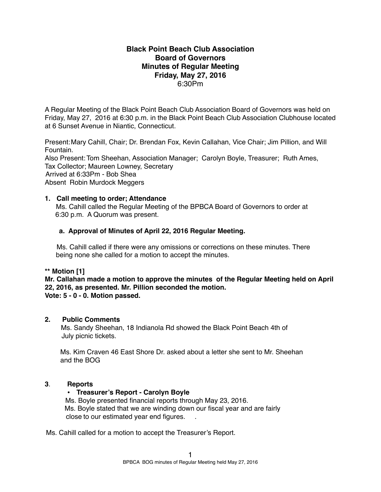## **Black Point Beach Club Association Board of Governors Minutes of Regular Meeting Friday, May 27, 2016** 6:30Pm

A Regular Meeting of the Black Point Beach Club Association Board of Governors was held on Friday, May 27, 2016 at 6:30 p.m. in the Black Point Beach Club Association Clubhouse located at 6 Sunset Avenue in Niantic, Connecticut.

Present:Mary Cahill, Chair; Dr. Brendan Fox, Kevin Callahan, Vice Chair; Jim Pillion, and Will Fountain.

Also Present: Tom Sheehan, Association Manager; Carolyn Boyle, Treasurer; Ruth Ames, Tax Collector; Maureen Lowney, Secretary Arrived at 6:33Pm - Bob Shea Absent Robin Murdock Meggers

## **1. Call meeting to order; Attendance**

Ms. Cahill called the Regular Meeting of the BPBCA Board of Governors to order at 6:30 p.m. A Quorum was present.

## **a. Approval of Minutes of April 22, 2016 Regular Meeting.**

Ms. Cahill called if there were any omissions or corrections on these minutes. There being none she called for a motion to accept the minutes.

## **\*\* Motion [1]**

**Mr. Callahan made a motion to approve the minutes of the Regular Meeting held on April 22, 2016, as presented. Mr. Pillion seconded the motion. Vote: 5 - 0 - 0. Motion passed.**

## **2. Public Comments**

Ms. Sandy Sheehan, 18 Indianola Rd showed the Black Point Beach 4th of July picnic tickets.

 Ms. Kim Craven 46 East Shore Dr. asked about a letter she sent to Mr. Sheehan and the BOG

## **3**. **Reports**

## • **Treasurer's Report - Carolyn Boyle**

Ms. Boyle presented financial reports through May 23, 2016. Ms. Boyle stated that we are winding down our fiscal year and are fairly close to our estimated year end figures. .

Ms. Cahill called for a motion to accept the Treasurer's Report.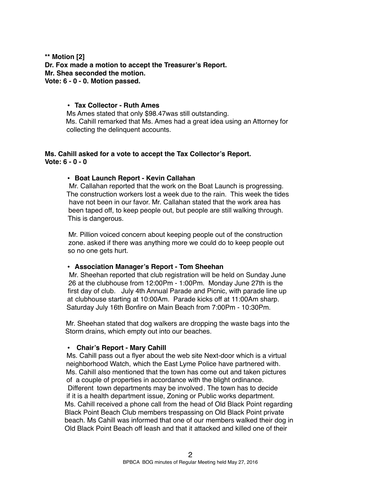## **\*\* Motion [2] Dr. Fox made a motion to accept the Treasurer's Report. Mr. Shea seconded the motion. Vote: 6 - 0 - 0. Motion passed.**

#### **• Tax Collector - Ruth Ames**

Ms Ames stated that only \$98.47was still outstanding. Ms. Cahill remarked that Ms. Ames had a great idea using an Attorney for collecting the delinquent accounts.

#### **Ms. Cahill asked for a vote to accept the Tax Collector's Report. Vote: 6 - 0 - 0**

#### **• Boat Launch Report - Kevin Callahan**

Mr. Callahan reported that the work on the Boat Launch is progressing. The construction workers lost a week due to the rain. This week the tides have not been in our favor. Mr. Callahan stated that the work area has been taped off, to keep people out, but people are still walking through. This is dangerous.

Mr. Pillion voiced concern about keeping people out of the construction zone. asked if there was anything more we could do to keep people out so no one gets hurt.

#### **• Association Manager's Report - Tom Sheehan**

Mr. Sheehan reported that club registration will be held on Sunday June 26 at the clubhouse from 12:00Pm - 1:00Pm. Monday June 27th is the first day of club. July 4th Annual Parade and Picnic, with parade line up at clubhouse starting at 10:00Am. Parade kicks off at 11:00Am sharp. Saturday July 16th Bonfire on Main Beach from 7:00Pm - 10:30Pm.

Mr. Sheehan stated that dog walkers are dropping the waste bags into the Storm drains, which empty out into our beaches.

#### **• Chair's Report - Mary Cahill**

Ms. Cahill pass out a flyer about the web site Next-door which is a virtual neighborhood Watch, which the East Lyme Police have partnered with. Ms. Cahill also mentioned that the town has come out and taken pictures of a couple of properties in accordance with the blight ordinance. Different town departments may be involved. The town has to decide if it is a health department issue, Zoning or Public works department. Ms. Cahill received a phone call from the head of Old Black Point regarding Black Point Beach Club members trespassing on Old Black Point private beach. Ms Cahill was informed that one of our members walked their dog in Old Black Point Beach off leash and that it attacked and killed one of their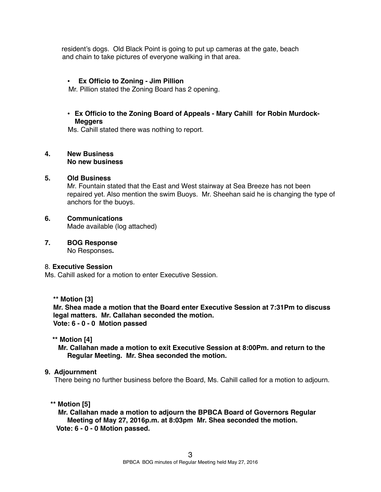resident's dogs. Old Black Point is going to put up cameras at the gate, beach and chain to take pictures of everyone walking in that area.

#### **• Ex Officio to Zoning - Jim Pillion**

Mr. Pillion stated the Zoning Board has 2 opening.

• **Ex Officio to the Zoning Board of Appeals - Mary Cahill for Robin Murdock-Meggers**

Ms. Cahill stated there was nothing to report.

# **4. New Business**

## **No new business**

## **5. Old Business**

Mr. Fountain stated that the East and West stairway at Sea Breeze has not been repaired yet. Also mention the swim Buoys. Mr. Sheehan said he is changing the type of anchors for the buoys.

#### **6. Communications**

Made available (log attached)

**7. BOG Response**  No Responses**.**

#### 8. **Executive Session**

Ms. Cahill asked for a motion to enter Executive Session.

## **\*\* Motion [3]**

**Mr. Shea made a motion that the Board enter Executive Session at 7:31Pm to discuss legal matters. Mr. Callahan seconded the motion. Vote: 6 - 0 - 0 Motion passed** 

## **\*\* Motion [4]**

 **Mr. Callahan made a motion to exit Executive Session at 8:00Pm. and return to the Regular Meeting. Mr. Shea seconded the motion.**

#### **9. Adjournment**

There being no further business before the Board, Ms. Cahill called for a motion to adjourn.

 **\*\* Motion [5]**

 **Mr. Callahan made a motion to adjourn the BPBCA Board of Governors Regular Meeting of May 27, 2016p.m. at 8:03pm Mr. Shea seconded the motion. Vote: 6 - 0 - 0 Motion passed.**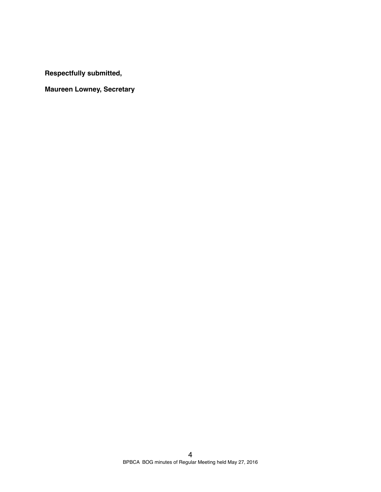**Respectfully submitted,**

**Maureen Lowney, Secretary**